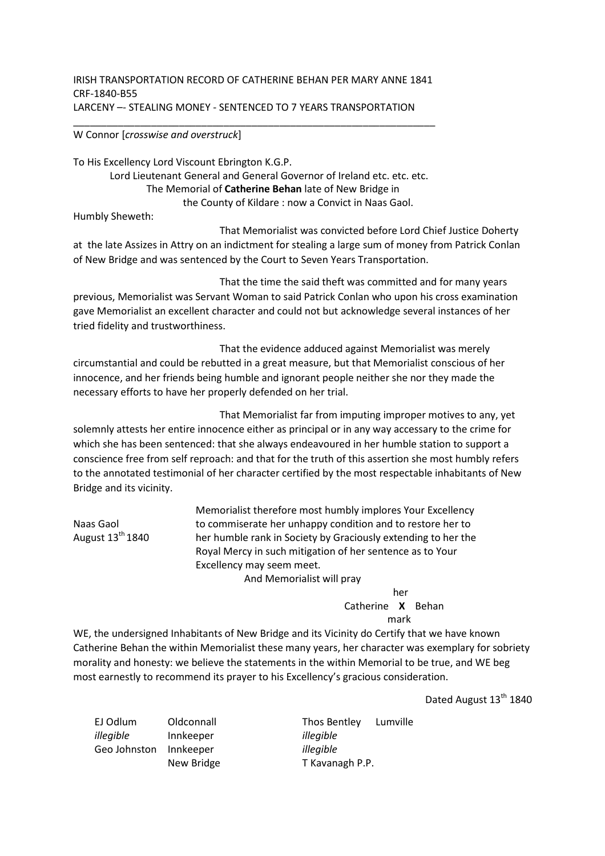## IRISH TRANSPORTATION RECORD OF CATHERINE BEHAN PER MARY ANNE 1841 CRF-1840-B55 LARCENY –- STEALING MONEY - SENTENCED TO 7 YEARS TRANSPORTATION

## W Connor [*crosswise and overstruck*]

To His Excellency Lord Viscount Ebrington K.G.P. Lord Lieutenant General and General Governor of Ireland etc. etc. etc. The Memorial of **Catherine Behan** late of New Bridge in the County of Kildare : now a Convict in Naas Gaol.

Humbly Sheweth:

Naas Gaol August  $13<sup>th</sup> 1840$ 

 That Memorialist was convicted before Lord Chief Justice Doherty at the late Assizes in Attry on an indictment for stealing a large sum of money from Patrick Conlan of New Bridge and was sentenced by the Court to Seven Years Transportation.

 That the time the said theft was committed and for many years previous, Memorialist was Servant Woman to said Patrick Conlan who upon his cross examination gave Memorialist an excellent character and could not but acknowledge several instances of her tried fidelity and trustworthiness.

 That the evidence adduced against Memorialist was merely circumstantial and could be rebutted in a great measure, but that Memorialist conscious of her innocence, and her friends being humble and ignorant people neither she nor they made the necessary efforts to have her properly defended on her trial.

 That Memorialist far from imputing improper motives to any, yet solemnly attests her entire innocence either as principal or in any way accessary to the crime for which she has been sentenced: that she always endeavoured in her humble station to support a conscience free from self reproach: and that for the truth of this assertion she most humbly refers to the annotated testimonial of her character certified by the most respectable inhabitants of New Bridge and its vicinity.

> Memorialist therefore most humbly implores Your Excellency to commiserate her unhappy condition and to restore her to her humble rank in Society by Graciously extending to her the Royal Mercy in such mitigation of her sentence as to Your Excellency may seem meet. And Memorialist will pray

 her Catherine **X** Behan mark

WE, the undersigned Inhabitants of New Bridge and its Vicinity do Certify that we have known Catherine Behan the within Memorialist these many years, her character was exemplary for sobriety morality and honesty: we believe the statements in the within Memorial to be true, and WE beg most earnestly to recommend its prayer to his Excellency's gracious consideration.

Dated August 13<sup>th</sup> 1840

EJ Odlum Oldconnall Thos Bentley Lumville *illegible* Innkeeper *illegible* Geo Johnston Innkeeper New Bridge

*illegible* T Kavanagh P.P.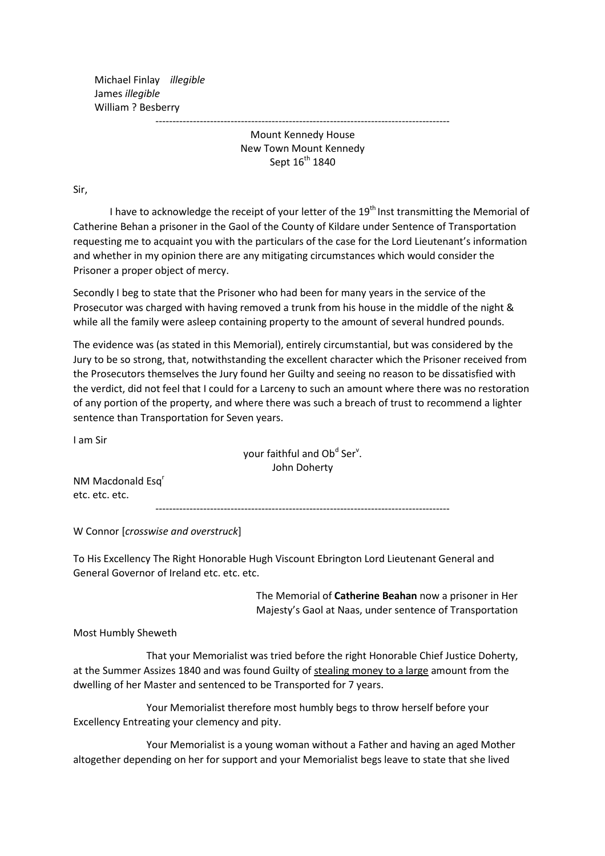Michael Finlay *illegible* James *illegible* William ? Besberry

> -------------------------------------------------------------------------------------- Mount Kennedy House New Town Mount Kennedy Sept 16<sup>th</sup> 1840

Sir,

I have to acknowledge the receipt of your letter of the 19<sup>th</sup> Inst transmitting the Memorial of Catherine Behan a prisoner in the Gaol of the County of Kildare under Sentence of Transportation requesting me to acquaint you with the particulars of the case for the Lord Lieutenant's information and whether in my opinion there are any mitigating circumstances which would consider the Prisoner a proper object of mercy.

Secondly I beg to state that the Prisoner who had been for many years in the service of the Prosecutor was charged with having removed a trunk from his house in the middle of the night & while all the family were asleep containing property to the amount of several hundred pounds.

The evidence was (as stated in this Memorial), entirely circumstantial, but was considered by the Jury to be so strong, that, notwithstanding the excellent character which the Prisoner received from the Prosecutors themselves the Jury found her Guilty and seeing no reason to be dissatisfied with the verdict, did not feel that I could for a Larceny to such an amount where there was no restoration of any portion of the property, and where there was such a breach of trust to recommend a lighter sentence than Transportation for Seven years.

I am Sir

your faithful and Ob<sup>d</sup> Ser<sup>v</sup>. John Doherty

NM Macdonald Esq<sup>r</sup> etc. etc. etc.

--------------------------------------------------------------------------------------

W Connor [*crosswise and overstruck*]

To His Excellency The Right Honorable Hugh Viscount Ebrington Lord Lieutenant General and General Governor of Ireland etc. etc. etc.

> The Memorial of **Catherine Beahan** now a prisoner in Her Majesty's Gaol at Naas, under sentence of Transportation

Most Humbly Sheweth

 That your Memorialist was tried before the right Honorable Chief Justice Doherty, at the Summer Assizes 1840 and was found Guilty of stealing money to a large amount from the dwelling of her Master and sentenced to be Transported for 7 years.

 Your Memorialist therefore most humbly begs to throw herself before your Excellency Entreating your clemency and pity.

 Your Memorialist is a young woman without a Father and having an aged Mother altogether depending on her for support and your Memorialist begs leave to state that she lived